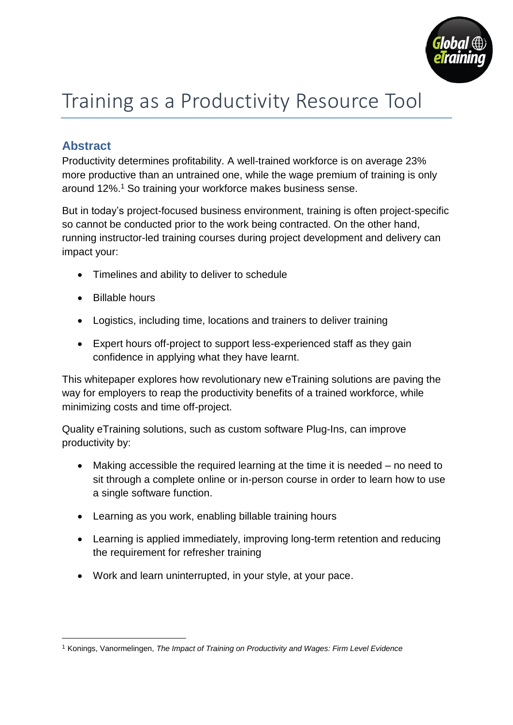

# Training as a Productivity Resource Tool

## **Abstract**

Productivity determines profitability. A well-trained workforce is on average 23% more productive than an untrained one, while the wage premium of training is only around 12%.<sup>1</sup> So training your workforce makes business sense.

But in today's project-focused business environment, training is often project-specific so cannot be conducted prior to the work being contracted. On the other hand, running instructor-led training courses during project development and delivery can impact your:

- Timelines and ability to deliver to schedule
- Billable hours

1

- Logistics, including time, locations and trainers to deliver training
- Expert hours off-project to support less-experienced staff as they gain confidence in applying what they have learnt.

This whitepaper explores how revolutionary new eTraining solutions are paving the way for employers to reap the productivity benefits of a trained workforce, while minimizing costs and time off-project.

Quality eTraining solutions, such as custom software Plug-Ins, can improve productivity by:

- Making accessible the required learning at the time it is needed no need to sit through a complete online or in-person course in order to learn how to use a single software function.
- Learning as you work, enabling billable training hours
- Learning is applied immediately, improving long-term retention and reducing the requirement for refresher training
- Work and learn uninterrupted, in your style, at your pace.

<sup>1</sup> Konings, Vanormelingen, *The Impact of Training on Productivity and Wages: Firm Level Evidence*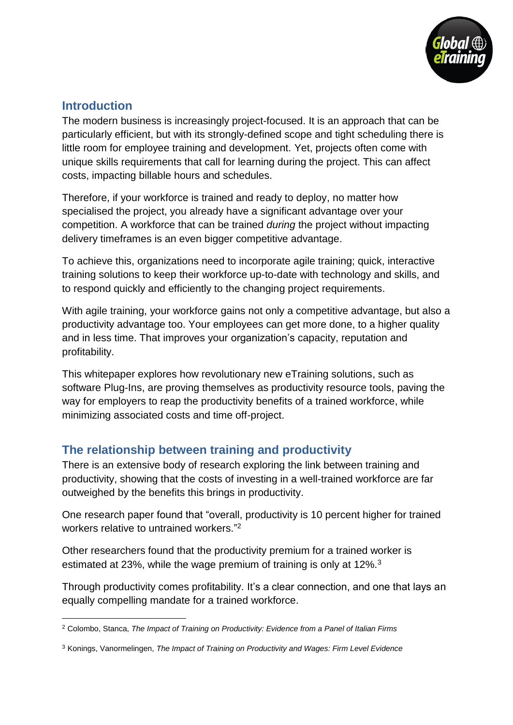

#### **Introduction**

1

The modern business is increasingly project-focused. It is an approach that can be particularly efficient, but with its strongly-defined scope and tight scheduling there is little room for employee training and development. Yet, projects often come with unique skills requirements that call for learning during the project. This can affect costs, impacting billable hours and schedules.

Therefore, if your workforce is trained and ready to deploy, no matter how specialised the project, you already have a significant advantage over your competition. A workforce that can be trained *during* the project without impacting delivery timeframes is an even bigger competitive advantage.

To achieve this, organizations need to incorporate agile training; quick, interactive training solutions to keep their workforce up-to-date with technology and skills, and to respond quickly and efficiently to the changing project requirements.

With agile training, your workforce gains not only a competitive advantage, but also a productivity advantage too. Your employees can get more done, to a higher quality and in less time. That improves your organization's capacity, reputation and profitability.

This whitepaper explores how revolutionary new eTraining solutions, such as software Plug-Ins, are proving themselves as productivity resource tools, paving the way for employers to reap the productivity benefits of a trained workforce, while minimizing associated costs and time off-project.

#### **The relationship between training and productivity**

There is an extensive body of research exploring the link between training and productivity, showing that the costs of investing in a well-trained workforce are far outweighed by the benefits this brings in productivity.

One research paper found that "overall, productivity is 10 percent higher for trained workers relative to untrained workers." 2

Other researchers found that the productivity premium for a trained worker is estimated at 23%, while the wage premium of training is only at 12%.<sup>3</sup>

Through productivity comes profitability. It's a clear connection, and one that lays an equally compelling mandate for a trained workforce.

<sup>2</sup> Colombo, Stanca, *The Impact of Training on Productivity: Evidence from a Panel of Italian Firms*

<sup>3</sup> Konings, Vanormelingen, *The Impact of Training on Productivity and Wages: Firm Level Evidence*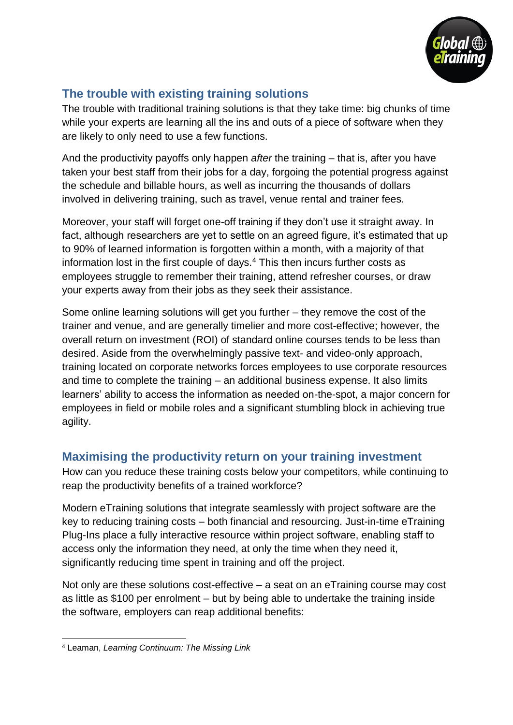

# **The trouble with existing training solutions**

The trouble with traditional training solutions is that they take time: big chunks of time while your experts are learning all the ins and outs of a piece of software when they are likely to only need to use a few functions.

And the productivity payoffs only happen *after* the training – that is, after you have taken your best staff from their jobs for a day, forgoing the potential progress against the schedule and billable hours, as well as incurring the thousands of dollars involved in delivering training, such as travel, venue rental and trainer fees.

Moreover, your staff will forget one-off training if they don't use it straight away. In fact, although researchers are yet to settle on an agreed figure, it's estimated that up to 90% of learned information is forgotten within a month, with a majority of that information lost in the first couple of days.<sup>4</sup> This then incurs further costs as employees struggle to remember their training, attend refresher courses, or draw your experts away from their jobs as they seek their assistance.

Some online learning solutions will get you further – they remove the cost of the trainer and venue, and are generally timelier and more cost-effective; however, the overall return on investment (ROI) of standard online courses tends to be less than desired. Aside from the overwhelmingly passive text- and video-only approach, training located on corporate networks forces employees to use corporate resources and time to complete the training – an additional business expense. It also limits learners' ability to access the information as needed on-the-spot, a major concern for employees in field or mobile roles and a significant stumbling block in achieving true agility.

# **Maximising the productivity return on your training investment**

How can you reduce these training costs below your competitors, while continuing to reap the productivity benefits of a trained workforce?

Modern eTraining solutions that integrate seamlessly with project software are the key to reducing training costs – both financial and resourcing. Just-in-time eTraining Plug-Ins place a fully interactive resource within project software, enabling staff to access only the information they need, at only the time when they need it, significantly reducing time spent in training and off the project.

Not only are these solutions cost-effective – a seat on an eTraining course may cost as little as \$100 per enrolment – but by being able to undertake the training inside the software, employers can reap additional benefits:

<sup>1</sup> <sup>4</sup> Leaman, *Learning Continuum: The Missing Link*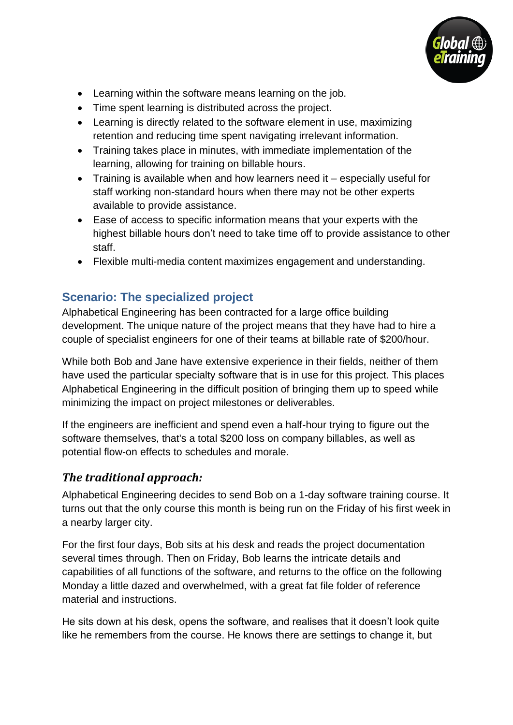

- Learning within the software means learning on the job.
- Time spent learning is distributed across the project.
- Learning is directly related to the software element in use, maximizing retention and reducing time spent navigating irrelevant information.
- Training takes place in minutes, with immediate implementation of the learning, allowing for training on billable hours.
- Training is available when and how learners need it especially useful for staff working non-standard hours when there may not be other experts available to provide assistance.
- Ease of access to specific information means that your experts with the highest billable hours don't need to take time off to provide assistance to other staff.
- Flexible multi-media content maximizes engagement and understanding.

### **Scenario: The specialized project**

Alphabetical Engineering has been contracted for a large office building development. The unique nature of the project means that they have had to hire a couple of specialist engineers for one of their teams at billable rate of \$200/hour.

While both Bob and Jane have extensive experience in their fields, neither of them have used the particular specialty software that is in use for this project. This places Alphabetical Engineering in the difficult position of bringing them up to speed while minimizing the impact on project milestones or deliverables.

If the engineers are inefficient and spend even a half-hour trying to figure out the software themselves, that's a total \$200 loss on company billables, as well as potential flow-on effects to schedules and morale.

#### *The traditional approach:*

Alphabetical Engineering decides to send Bob on a 1-day software training course. It turns out that the only course this month is being run on the Friday of his first week in a nearby larger city.

For the first four days, Bob sits at his desk and reads the project documentation several times through. Then on Friday, Bob learns the intricate details and capabilities of all functions of the software, and returns to the office on the following Monday a little dazed and overwhelmed, with a great fat file folder of reference material and instructions.

He sits down at his desk, opens the software, and realises that it doesn't look quite like he remembers from the course. He knows there are settings to change it, but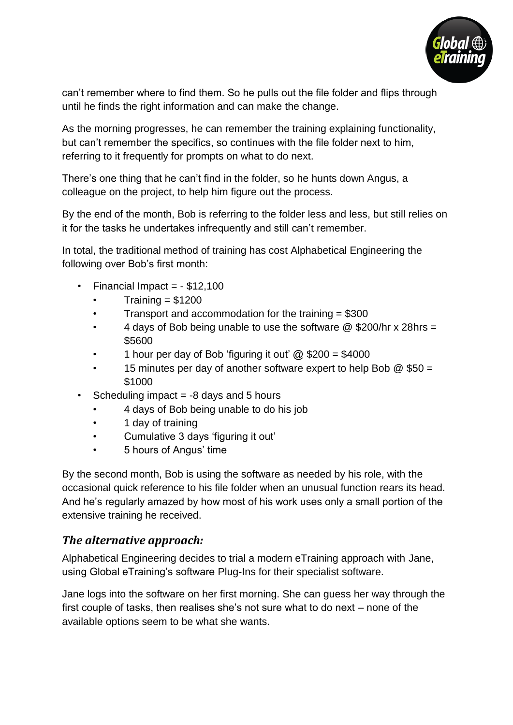

can't remember where to find them. So he pulls out the file folder and flips through until he finds the right information and can make the change.

As the morning progresses, he can remember the training explaining functionality, but can't remember the specifics, so continues with the file folder next to him, referring to it frequently for prompts on what to do next.

There's one thing that he can't find in the folder, so he hunts down Angus, a colleague on the project, to help him figure out the process.

By the end of the month, Bob is referring to the folder less and less, but still relies on it for the tasks he undertakes infrequently and still can't remember.

In total, the traditional method of training has cost Alphabetical Engineering the following over Bob's first month:

- Financial Impact =  $-$  \$12,100
	- $Trainina = $1200$
	- Transport and accommodation for the training  $= $300$
	- 4 days of Bob being unable to use the software @ \$200/hr x 28hrs = \$5600
	- 1 hour per day of Bob 'figuring it out'  $\omega$  \$200 = \$4000
	- 15 minutes per day of another software expert to help Bob  $@$  \$50 = \$1000
- Scheduling impact  $= -8$  days and 5 hours
	- 4 days of Bob being unable to do his job
	- 1 day of training
	- Cumulative 3 days 'figuring it out'
	- 5 hours of Angus' time

By the second month, Bob is using the software as needed by his role, with the occasional quick reference to his file folder when an unusual function rears its head. And he's regularly amazed by how most of his work uses only a small portion of the extensive training he received.

#### *The alternative approach:*

Alphabetical Engineering decides to trial a modern eTraining approach with Jane, using Global eTraining's software Plug-Ins for their specialist software.

Jane logs into the software on her first morning. She can guess her way through the first couple of tasks, then realises she's not sure what to do next – none of the available options seem to be what she wants.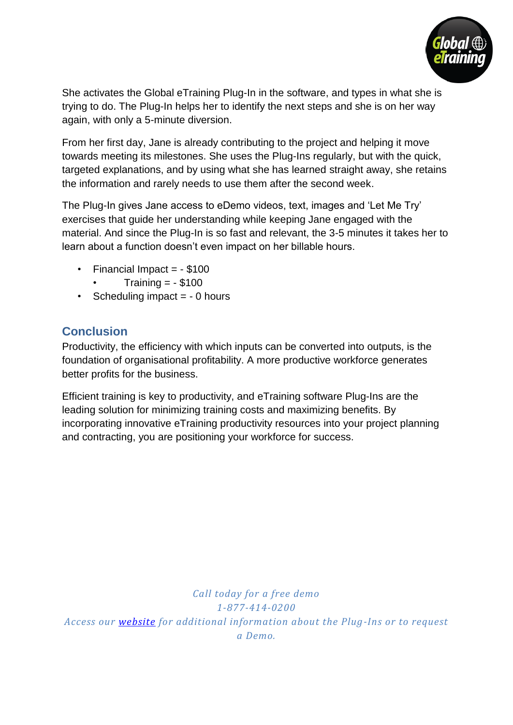

She activates the Global eTraining Plug-In in the software, and types in what she is trying to do. The Plug-In helps her to identify the next steps and she is on her way again, with only a 5-minute diversion.

From her first day, Jane is already contributing to the project and helping it move towards meeting its milestones. She uses the Plug-Ins regularly, but with the quick, targeted explanations, and by using what she has learned straight away, she retains the information and rarely needs to use them after the second week.

The Plug-In gives Jane access to eDemo videos, text, images and 'Let Me Try' exercises that guide her understanding while keeping Jane engaged with the material. And since the Plug-In is so fast and relevant, the 3-5 minutes it takes her to learn about a function doesn't even impact on her billable hours.

- $\cdot$  Financial Impact =  $-$  \$100
	- Training  $= -$  \$100
- Scheduling impact  $= -0$  hours

### **Conclusion**

Productivity, the efficiency with which inputs can be converted into outputs, is the foundation of organisational profitability. A more productive workforce generates better profits for the business.

Efficient training is key to productivity, and eTraining software Plug-Ins are the leading solution for minimizing training costs and maximizing benefits. By incorporating innovative eTraining productivity resources into your project planning and contracting, you are positioning your workforce for success.

*Call today for a free demo 1-877-414-0200 Access our [website](http://www.globaletraining.ca/) for additional information about the Plug-Ins or to request a Demo.*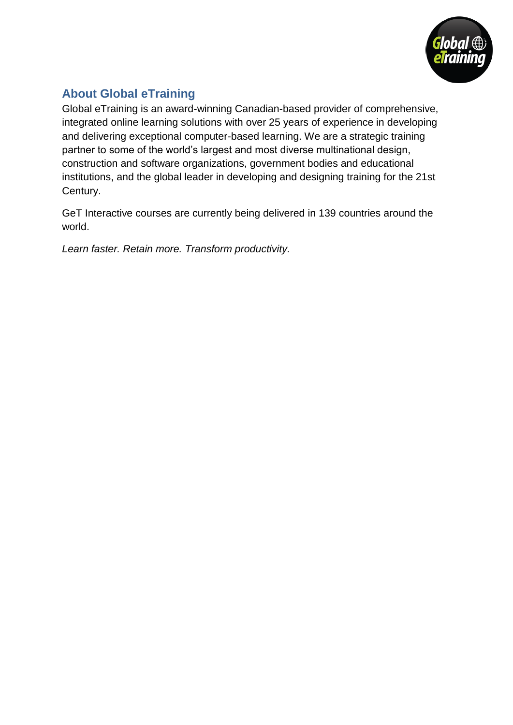

# **About Global eTraining**

Global eTraining is an award-winning Canadian-based provider of comprehensive, integrated online learning solutions with over 25 years of experience in developing and delivering exceptional computer-based learning. We are a strategic training partner to some of the world's largest and most diverse multinational design, construction and software organizations, government bodies and educational institutions, and the global leader in developing and designing training for the 21st Century.

GeT Interactive courses are currently being delivered in 139 countries around the world.

*Learn faster. Retain more. Transform productivity.*